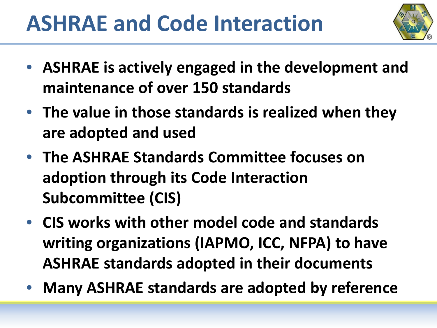

- **ASHRAE is actively engaged in the development and maintenance of over 150 standards**
- **The value in those standards is realized when they are adopted and used**
- **The ASHRAE Standards Committee focuses on adoption through its Code Interaction Subcommittee (CIS)**
- **CIS works with other model code and standards writing organizations (IAPMO, ICC, NFPA) to have ASHRAE standards adopted in their documents**
- **Many ASHRAE standards are adopted by reference**